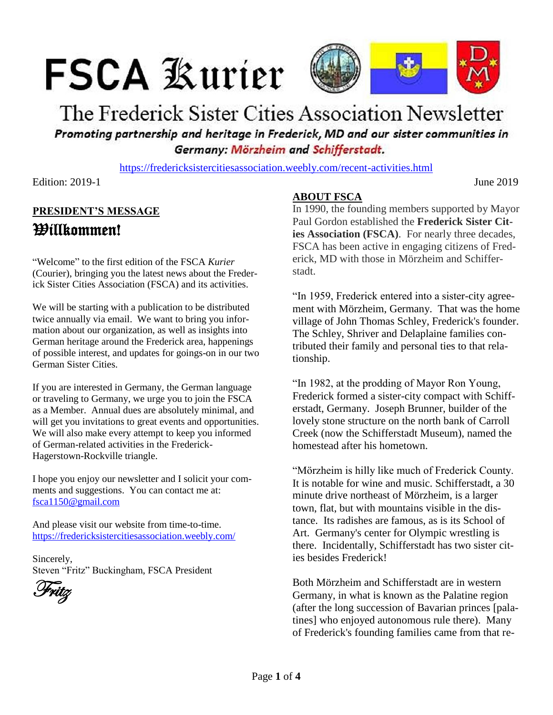# **FSCA Kurier**



## The Frederick Sister Cities Association Newsletter Promoting partnership and heritage in Frederick, MD and our sister communities in Germany: Mörzheim and Schifferstadt.

<https://fredericksistercitiesassociation.weebly.com/recent-activities.html>

Edition: 2019-1 June 2019

### **PRESIDENT'S MESSAGE** Willkommen!

"Welcome" to the first edition of the FSCA *Kurier* (Courier), bringing you the latest news about the Frederick Sister Cities Association (FSCA) and its activities.

We will be starting with a publication to be distributed twice annually via email. We want to bring you information about our organization, as well as insights into German heritage around the Frederick area, happenings of possible interest, and updates for goings-on in our two German Sister Cities.

If you are interested in Germany, the German language or traveling to Germany, we urge you to join the FSCA as a Member. Annual dues are absolutely minimal, and will get you invitations to great events and opportunities. We will also make every attempt to keep you informed of German-related activities in the Frederick-Hagerstown-Rockville triangle.

I hope you enjoy our newsletter and I solicit your comments and suggestions. You can contact me at: [fsca1150@gmail.com](mailto:fsca1150@gmail.com)

And please visit our website from time-to-time. <https://fredericksistercitiesassociation.weebly.com/>

Sincerely, Steven "Fritz" Buckingham, FSCA President

Fritz

#### **ABOUT FSCA**

In 1990, the founding members supported by Mayor Paul Gordon established the **Frederick Sister Cities Association (FSCA)**. For nearly three decades, FSCA has been active in engaging citizens of Frederick, MD with those in Mörzheim and Schifferstadt.

"In 1959, Frederick entered into a sister-city agreement with Mörzheim, Germany. That was the home village of John Thomas Schley, Frederick's founder. The Schley, Shriver and Delaplaine families contributed their family and personal ties to that relationship.

"In 1982, at the prodding of Mayor Ron Young, Frederick formed a sister-city compact with Schifferstadt, Germany. Joseph Brunner, builder of the lovely stone structure on the north bank of Carroll Creek (now the Schifferstadt Museum), named the homestead after his hometown.

"Mörzheim is hilly like much of Frederick County. It is notable for wine and music. Schifferstadt, a 30 minute drive northeast of Mörzheim, is a larger town, flat, but with mountains visible in the distance. Its radishes are famous, as is its School of Art. Germany's center for Olympic wrestling is there. Incidentally, Schifferstadt has two sister cities besides Frederick!

Both Mörzheim and Schifferstadt are in western Germany, in what is known as the Palatine region (after the long succession of Bavarian princes [palatines] who enjoyed autonomous rule there). Many of Frederick's founding families came from that re-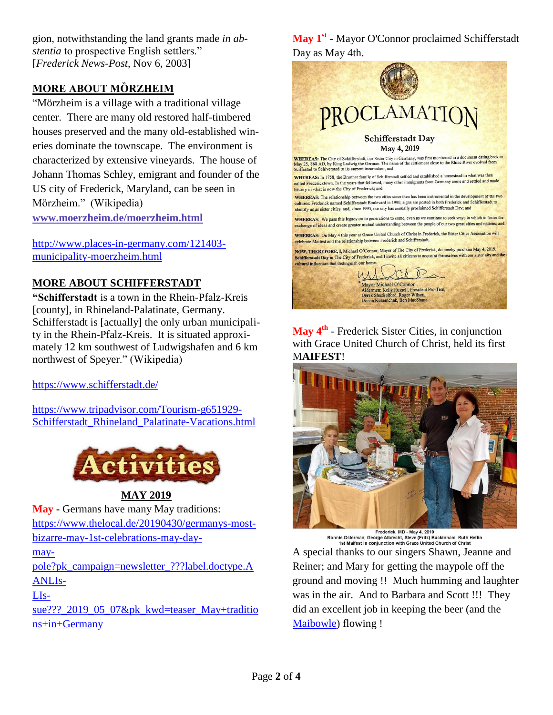gion, notwithstanding the land grants made *in abstentia* to prospective English settlers." [*Frederick News-Post*, Nov 6, 2003]

#### **MORE ABOUT MȌRZHEIM**

"Mörzheim is a village with a traditional village center. There are many old restored half-timbered houses preserved and the many old-established wineries dominate the townscape. The environment is characterized by extensive vineyards. The house of Johann Thomas Schley, emigrant and founder of the US city of Frederick, Maryland, can be seen in Mörzheim." (Wikipedia)

**[www.moerzheim.de/moerzheim.html](http://www.moerzheim.de/moerzheim.html)**

[http://www.places-in-germany.com/121403](http://www.places-in-germany.com/121403-municipality-moerzheim.html) [municipality-moerzheim.html](http://www.places-in-germany.com/121403-municipality-moerzheim.html)

#### **MORE ABOUT SCHIFFERSTADT**

**"Schifferstadt** is a town in the Rhein-Pfalz-Kreis [county], in Rhineland-Palatinate, Germany. Schifferstadt is [actually] the only urban municipality in the Rhein-Pfalz-Kreis. It is situated approximately 12 km southwest of Ludwigshafen and 6 km northwest of Speyer." (Wikipedia)

<https://www.schifferstadt.de/>

[https://www.tripadvisor.com/Tourism-g651929-](https://www.tripadvisor.com/Tourism-g651929-Schifferstadt_Rhineland_Palatinate-Vacations.html) [Schifferstadt\\_Rhineland\\_Palatinate-Vacations.html](https://www.tripadvisor.com/Tourism-g651929-Schifferstadt_Rhineland_Palatinate-Vacations.html)



**MAY 2019**

**May -** Germans have many May traditions: [https://www.thelocal.de/20190430/germanys-most](https://www.thelocal.de/20190430/germanys-most-bizarre-may-1st-celebrations-may-day-maypole?pk_campaign=newsletter_???label.doctype.AANLIssue???_2019_05_07&pk_kwd=teaser_May+traditions+in+Germany)[bizarre-may-1st-celebrations-may-day](https://www.thelocal.de/20190430/germanys-most-bizarre-may-1st-celebrations-may-day-maypole?pk_campaign=newsletter_???label.doctype.AANLIssue???_2019_05_07&pk_kwd=teaser_May+traditions+in+Germany)[may-](https://www.thelocal.de/20190430/germanys-most-bizarre-may-1st-celebrations-may-day-maypole?pk_campaign=newsletter_???label.doctype.AANLIssue???_2019_05_07&pk_kwd=teaser_May+traditions+in+Germany)

[pole?pk\\_campaign=newsletter\\_???label.doctype.A](https://www.thelocal.de/20190430/germanys-most-bizarre-may-1st-celebrations-may-day-maypole?pk_campaign=newsletter_???label.doctype.AANLIssue???_2019_05_07&pk_kwd=teaser_May+traditions+in+Germany) [ANLIs-](https://www.thelocal.de/20190430/germanys-most-bizarre-may-1st-celebrations-may-day-maypole?pk_campaign=newsletter_???label.doctype.AANLIssue???_2019_05_07&pk_kwd=teaser_May+traditions+in+Germany)

[LIs-](https://www.thelocal.de/20190430/germanys-most-bizarre-may-1st-celebrations-may-day-maypole?pk_campaign=newsletter_???label.doctype.AANLIssue???_2019_05_07&pk_kwd=teaser_May+traditions+in+Germany)

[sue???\\_2019\\_05\\_07&pk\\_kwd=teaser\\_May+traditio](https://www.thelocal.de/20190430/germanys-most-bizarre-may-1st-celebrations-may-day-maypole?pk_campaign=newsletter_???label.doctype.AANLIssue???_2019_05_07&pk_kwd=teaser_May+traditions+in+Germany) [ns+in+Germany](https://www.thelocal.de/20190430/germanys-most-bizarre-may-1st-celebrations-may-day-maypole?pk_campaign=newsletter_???label.doctype.AANLIssue???_2019_05_07&pk_kwd=teaser_May+traditions+in+Germany)

**May 1st** - Mayor O'Connor proclaimed Schifferstadt Day as May 4th.



**May 4th** - Frederick Sister Cities, in conjunction with Grace United Church of Christ, held its first M**AIFEST**!



Frederick, MD - May 4, 2019 Ronnie Osterman, George Albrecht, Steve (Fritz) Buckinham, Ruth Heflin<br>1st Maifest in conjunction with Grace United Church of Christ

A special thanks to our singers Shawn, Jeanne and Reiner; and Mary for getting the maypole off the ground and moving !! Much humming and laughter was in the air. And to Barbara and Scott !!! They did an excellent job in keeping the beer (and the [Maibowle\)](https://germangirlinamerica.com/what-is-maibowle/) flowing !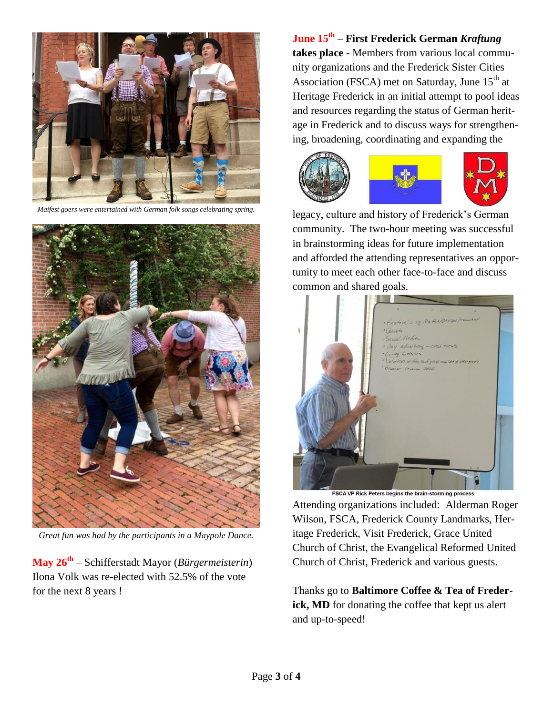

*Maifest goers were entertained with German folk songs celebrating spring.*



*Great fun was had by the participants in a Maypole Dance.*

**May 26th** – Schifferstadt Mayor (*Bürgermeisterin*) Ilona Volk was re-elected with 52.5% of the vote for the next 8 years !

**June 15th** – **First Frederick German** *Kraftung* **takes place -** Members from various local community organizations and the Frederick Sister Cities Association (FSCA) met on Saturday, June  $15<sup>th</sup>$  at Heritage Frederick in an initial attempt to pool ideas and resources regarding the status of German heritage in Frederick and to discuss ways for strengthening, broadening, coordinating and expanding the



legacy, culture and history of Frederick's German community. The two-hour meeting was successful in brainstorming ideas for future implementation and afforded the attending representatives an opportunity to meet each other face-to-face and discuss common and shared goals.



Attending organizations included: Alderman Roger Wilson, FSCA, Frederick County Landmarks, Heritage Frederick, Visit Frederick, Grace United Church of Christ, the Evangelical Reformed United Church of Christ, Frederick and various guests.

Thanks go to **Baltimore Coffee & Tea of Freder**ick, MD for donating the coffee that kept us alert and up-to-speed!